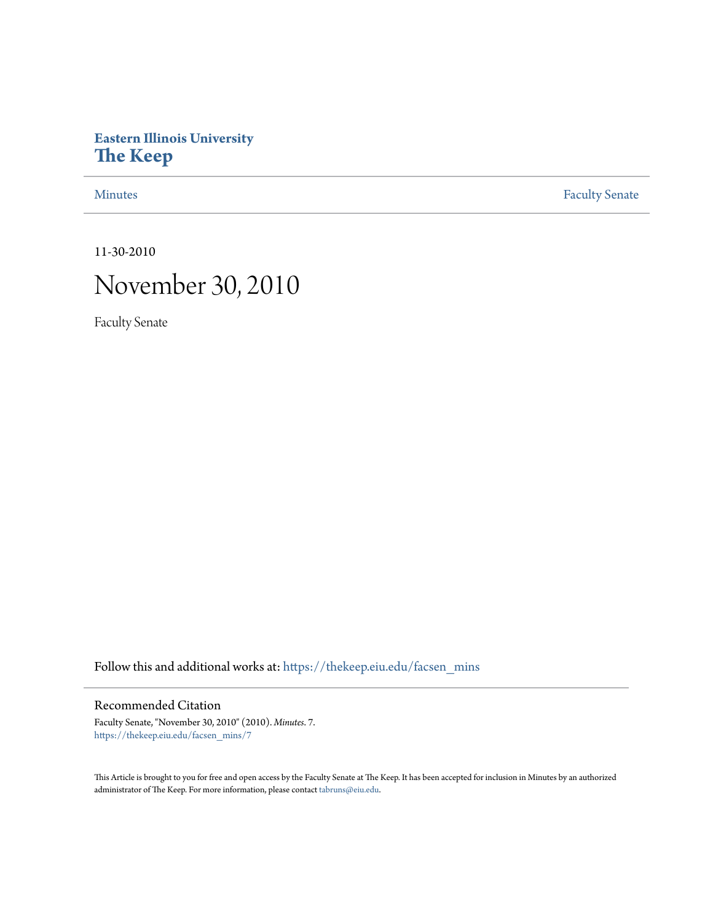# **Eastern Illinois University [The Keep](https://thekeep.eiu.edu?utm_source=thekeep.eiu.edu%2Ffacsen_mins%2F7&utm_medium=PDF&utm_campaign=PDFCoverPages)**

[Minutes](https://thekeep.eiu.edu/facsen_mins?utm_source=thekeep.eiu.edu%2Ffacsen_mins%2F7&utm_medium=PDF&utm_campaign=PDFCoverPages) **[Faculty Senate](https://thekeep.eiu.edu/fac_senate?utm_source=thekeep.eiu.edu%2Ffacsen_mins%2F7&utm_medium=PDF&utm_campaign=PDFCoverPages)** 

11-30-2010

# November 30, 2010

Faculty Senate

Follow this and additional works at: [https://thekeep.eiu.edu/facsen\\_mins](https://thekeep.eiu.edu/facsen_mins?utm_source=thekeep.eiu.edu%2Ffacsen_mins%2F7&utm_medium=PDF&utm_campaign=PDFCoverPages)

# Recommended Citation

Faculty Senate, "November 30, 2010" (2010). *Minutes*. 7. [https://thekeep.eiu.edu/facsen\\_mins/7](https://thekeep.eiu.edu/facsen_mins/7?utm_source=thekeep.eiu.edu%2Ffacsen_mins%2F7&utm_medium=PDF&utm_campaign=PDFCoverPages)

This Article is brought to you for free and open access by the Faculty Senate at The Keep. It has been accepted for inclusion in Minutes by an authorized administrator of The Keep. For more information, please contact [tabruns@eiu.edu.](mailto:tabruns@eiu.edu)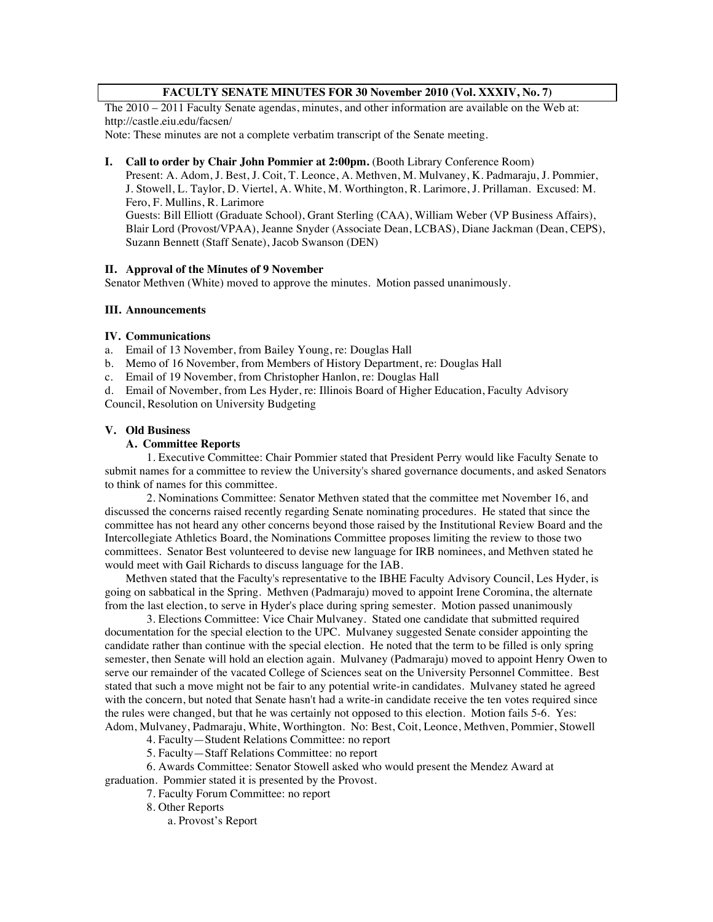#### **FACULTY SENATE MINUTES FOR 30 November 2010 (Vol. XXXIV, No. 7)**

The 2010 – 2011 Faculty Senate agendas, minutes, and other information are available on the Web at: http://castle.eiu.edu/facsen/

Note: These minutes are not a complete verbatim transcript of the Senate meeting.

#### **I. Call to order by Chair John Pommier at 2:00pm.** (Booth Library Conference Room)

Present: A. Adom, J. Best, J. Coit, T. Leonce, A. Methven, M. Mulvaney, K. Padmaraju, J. Pommier, J. Stowell, L. Taylor, D. Viertel, A. White, M. Worthington, R. Larimore, J. Prillaman. Excused: M. Fero, F. Mullins, R. Larimore Guests: Bill Elliott (Graduate School), Grant Sterling (CAA), William Weber (VP Business Affairs),

Blair Lord (Provost/VPAA), Jeanne Snyder (Associate Dean, LCBAS), Diane Jackman (Dean, CEPS), Suzann Bennett (Staff Senate), Jacob Swanson (DEN)

#### **II. Approval of the Minutes of 9 November**

Senator Methven (White) moved to approve the minutes. Motion passed unanimously.

#### **III. Announcements**

#### **IV. Communications**

- a. Email of 13 November, from Bailey Young, re: Douglas Hall
- b. Memo of 16 November, from Members of History Department, re: Douglas Hall
- c. Email of 19 November, from Christopher Hanlon, re: Douglas Hall

d. Email of November, from Les Hyder, re: Illinois Board of Higher Education, Faculty Advisory Council, Resolution on University Budgeting

#### **V. Old Business**

#### **A. Committee Reports**

1. Executive Committee: Chair Pommier stated that President Perry would like Faculty Senate to submit names for a committee to review the University's shared governance documents, and asked Senators to think of names for this committee.

2. Nominations Committee: Senator Methven stated that the committee met November 16, and discussed the concerns raised recently regarding Senate nominating procedures. He stated that since the committee has not heard any other concerns beyond those raised by the Institutional Review Board and the Intercollegiate Athletics Board, the Nominations Committee proposes limiting the review to those two committees. Senator Best volunteered to devise new language for IRB nominees, and Methven stated he would meet with Gail Richards to discuss language for the IAB.

Methven stated that the Faculty's representative to the IBHE Faculty Advisory Council, Les Hyder, is going on sabbatical in the Spring. Methven (Padmaraju) moved to appoint Irene Coromina, the alternate from the last election, to serve in Hyder's place during spring semester. Motion passed unanimously

3. Elections Committee: Vice Chair Mulvaney. Stated one candidate that submitted required documentation for the special election to the UPC. Mulvaney suggested Senate consider appointing the candidate rather than continue with the special election. He noted that the term to be filled is only spring semester, then Senate will hold an election again. Mulvaney (Padmaraju) moved to appoint Henry Owen to serve our remainder of the vacated College of Sciences seat on the University Personnel Committee. Best stated that such a move might not be fair to any potential write-in candidates. Mulvaney stated he agreed with the concern, but noted that Senate hasn't had a write-in candidate receive the ten votes required since the rules were changed, but that he was certainly not opposed to this election. Motion fails 5-6. Yes: Adom, Mulvaney, Padmaraju, White, Worthington. No: Best, Coit, Leonce, Methven, Pommier, Stowell

4. Faculty—Student Relations Committee: no report

5. Faculty—Staff Relations Committee: no report

6. Awards Committee: Senator Stowell asked who would present the Mendez Award at

graduation. Pommier stated it is presented by the Provost.

7. Faculty Forum Committee: no report

8. Other Reports

a. Provost's Report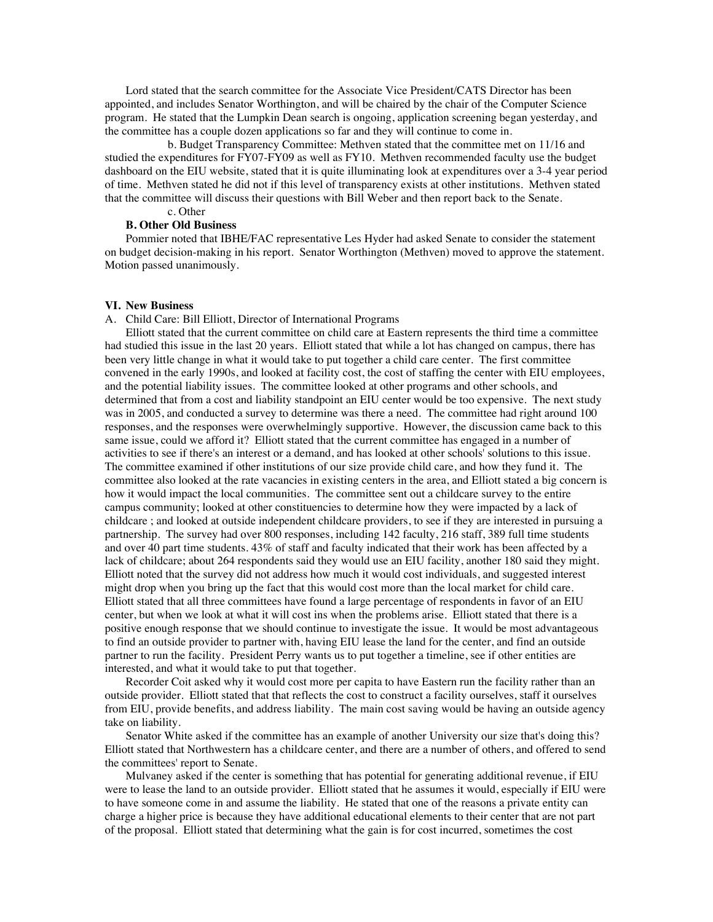Lord stated that the search committee for the Associate Vice President/CATS Director has been appointed, and includes Senator Worthington, and will be chaired by the chair of the Computer Science program. He stated that the Lumpkin Dean search is ongoing, application screening began yesterday, and the committee has a couple dozen applications so far and they will continue to come in.

b. Budget Transparency Committee: Methven stated that the committee met on 11/16 and studied the expenditures for FY07-FY09 as well as FY10. Methven recommended faculty use the budget dashboard on the EIU website, stated that it is quite illuminating look at expenditures over a 3-4 year period of time. Methven stated he did not if this level of transparency exists at other institutions. Methven stated that the committee will discuss their questions with Bill Weber and then report back to the Senate.

## c. Other

### **B. Other Old Business**

Pommier noted that IBHE/FAC representative Les Hyder had asked Senate to consider the statement on budget decision-making in his report. Senator Worthington (Methven) moved to approve the statement. Motion passed unanimously.

#### **VI. New Business**

A. Child Care: Bill Elliott, Director of International Programs

Elliott stated that the current committee on child care at Eastern represents the third time a committee had studied this issue in the last 20 years. Elliott stated that while a lot has changed on campus, there has been very little change in what it would take to put together a child care center. The first committee convened in the early 1990s, and looked at facility cost, the cost of staffing the center with EIU employees, and the potential liability issues. The committee looked at other programs and other schools, and determined that from a cost and liability standpoint an EIU center would be too expensive. The next study was in 2005, and conducted a survey to determine was there a need. The committee had right around 100 responses, and the responses were overwhelmingly supportive. However, the discussion came back to this same issue, could we afford it? Elliott stated that the current committee has engaged in a number of activities to see if there's an interest or a demand, and has looked at other schools' solutions to this issue. The committee examined if other institutions of our size provide child care, and how they fund it. The committee also looked at the rate vacancies in existing centers in the area, and Elliott stated a big concern is how it would impact the local communities. The committee sent out a childcare survey to the entire campus community; looked at other constituencies to determine how they were impacted by a lack of childcare ; and looked at outside independent childcare providers, to see if they are interested in pursuing a partnership. The survey had over 800 responses, including 142 faculty, 216 staff, 389 full time students and over 40 part time students. 43% of staff and faculty indicated that their work has been affected by a lack of childcare; about 264 respondents said they would use an EIU facility, another 180 said they might. Elliott noted that the survey did not address how much it would cost individuals, and suggested interest might drop when you bring up the fact that this would cost more than the local market for child care. Elliott stated that all three committees have found a large percentage of respondents in favor of an EIU center, but when we look at what it will cost ins when the problems arise. Elliott stated that there is a positive enough response that we should continue to investigate the issue. It would be most advantageous to find an outside provider to partner with, having EIU lease the land for the center, and find an outside partner to run the facility. President Perry wants us to put together a timeline, see if other entities are interested, and what it would take to put that together.

Recorder Coit asked why it would cost more per capita to have Eastern run the facility rather than an outside provider. Elliott stated that that reflects the cost to construct a facility ourselves, staff it ourselves from EIU, provide benefits, and address liability. The main cost saving would be having an outside agency take on liability.

Senator White asked if the committee has an example of another University our size that's doing this? Elliott stated that Northwestern has a childcare center, and there are a number of others, and offered to send the committees' report to Senate.

Mulvaney asked if the center is something that has potential for generating additional revenue, if EIU were to lease the land to an outside provider. Elliott stated that he assumes it would, especially if EIU were to have someone come in and assume the liability. He stated that one of the reasons a private entity can charge a higher price is because they have additional educational elements to their center that are not part of the proposal. Elliott stated that determining what the gain is for cost incurred, sometimes the cost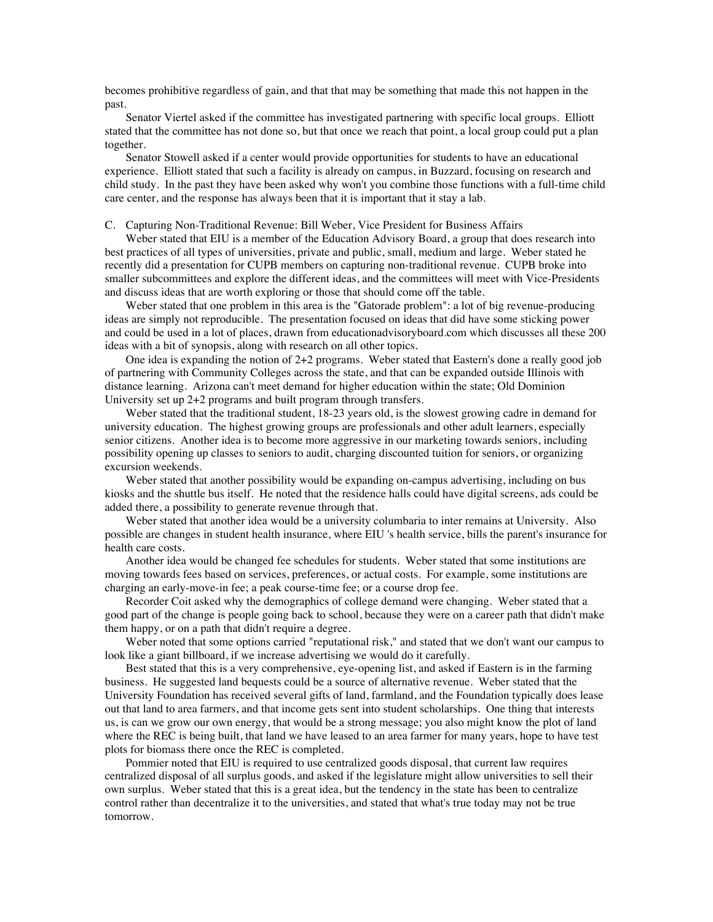becomes prohibitive regardless of gain, and that that may be something that made this not happen in the past.

Senator Viertel asked if the committee has investigated partnering with specific local groups. Elliott stated that the committee has not done so, but that once we reach that point, a local group could put a plan together.

Senator Stowell asked if a center would provide opportunities for students to have an educational experience. Elliott stated that such a facility is already on campus, in Buzzard, focusing on research and child study. In the past they have been asked why won't you combine those functions with a full-time child care center, and the response has always been that it is important that it stay a lab.

#### C. Capturing Non-Traditional Revenue: Bill Weber, Vice President for Business Affairs

Weber stated that EIU is a member of the Education Advisory Board, a group that does research into best practices of all types of universities, private and public, small, medium and large. Weber stated he recently did a presentation for CUPB members on capturing non-traditional revenue. CUPB broke into smaller subcommittees and explore the different ideas, and the committees will meet with Vice-Presidents and discuss ideas that are worth exploring or those that should come off the table.

Weber stated that one problem in this area is the "Gatorade problem": a lot of big revenue-producing ideas are simply not reproducible. The presentation focused on ideas that did have some sticking power and could be used in a lot of places, drawn from educationadvisoryboard.com which discusses all these 200 ideas with a bit of synopsis, along with research on all other topics.

One idea is expanding the notion of 2+2 programs. Weber stated that Eastern's done a really good job of partnering with Community Colleges across the state, and that can be expanded outside Illinois with distance learning. Arizona can't meet demand for higher education within the state; Old Dominion University set up 2+2 programs and built program through transfers.

Weber stated that the traditional student, 18-23 years old, is the slowest growing cadre in demand for university education. The highest growing groups are professionals and other adult learners, especially senior citizens. Another idea is to become more aggressive in our marketing towards seniors, including possibility opening up classes to seniors to audit, charging discounted tuition for seniors, or organizing excursion weekends.

Weber stated that another possibility would be expanding on-campus advertising, including on bus kiosks and the shuttle bus itself. He noted that the residence halls could have digital screens, ads could be added there, a possibility to generate revenue through that.

Weber stated that another idea would be a university columbaria to inter remains at University. Also possible are changes in student health insurance, where EIU 's health service, bills the parent's insurance for health care costs.

Another idea would be changed fee schedules for students. Weber stated that some institutions are moving towards fees based on services, preferences, or actual costs. For example, some institutions are charging an early-move-in fee; a peak course-time fee; or a course drop fee.

Recorder Coit asked why the demographics of college demand were changing. Weber stated that a good part of the change is people going back to school, because they were on a career path that didn't make them happy, or on a path that didn't require a degree.

Weber noted that some options carried "reputational risk," and stated that we don't want our campus to look like a giant billboard, if we increase advertising we would do it carefully.

Best stated that this is a very comprehensive, eye-opening list, and asked if Eastern is in the farming business. He suggested land bequests could be a source of alternative revenue. Weber stated that the University Foundation has received several gifts of land, farmland, and the Foundation typically does lease out that land to area farmers, and that income gets sent into student scholarships. One thing that interests us, is can we grow our own energy, that would be a strong message; you also might know the plot of land where the REC is being built, that land we have leased to an area farmer for many years, hope to have test plots for biomass there once the REC is completed.

Pommier noted that EIU is required to use centralized goods disposal, that current law requires centralized disposal of all surplus goods, and asked if the legislature might allow universities to sell their own surplus. Weber stated that this is a great idea, but the tendency in the state has been to centralize control rather than decentralize it to the universities, and stated that what's true today may not be true tomorrow.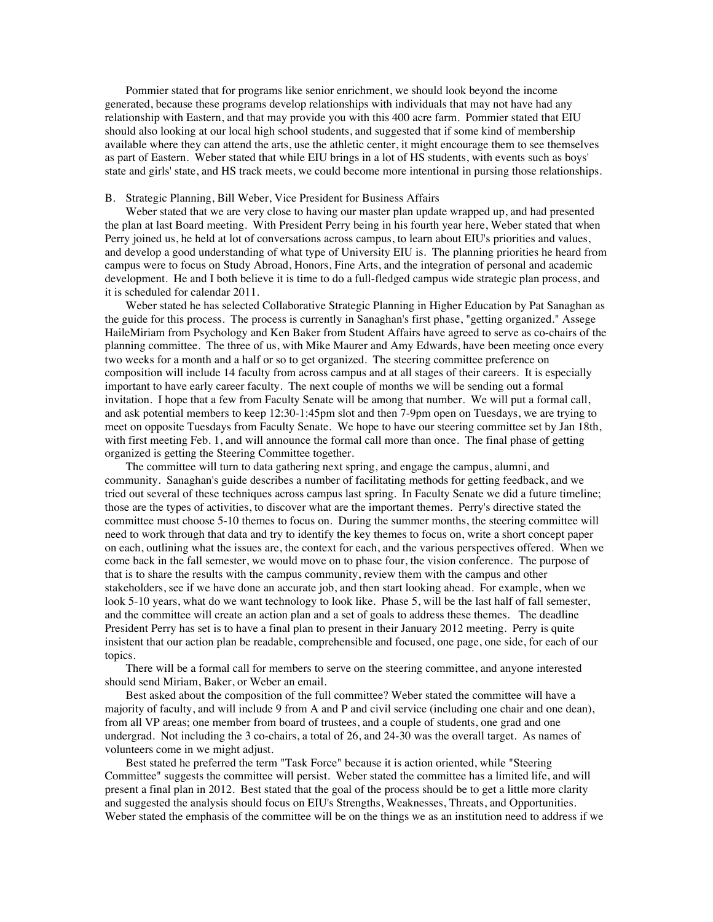Pommier stated that for programs like senior enrichment, we should look beyond the income generated, because these programs develop relationships with individuals that may not have had any relationship with Eastern, and that may provide you with this 400 acre farm. Pommier stated that EIU should also looking at our local high school students, and suggested that if some kind of membership available where they can attend the arts, use the athletic center, it might encourage them to see themselves as part of Eastern. Weber stated that while EIU brings in a lot of HS students, with events such as boys' state and girls' state, and HS track meets, we could become more intentional in pursing those relationships.

#### B. Strategic Planning, Bill Weber, Vice President for Business Affairs

Weber stated that we are very close to having our master plan update wrapped up, and had presented the plan at last Board meeting. With President Perry being in his fourth year here, Weber stated that when Perry joined us, he held at lot of conversations across campus, to learn about EIU's priorities and values, and develop a good understanding of what type of University EIU is. The planning priorities he heard from campus were to focus on Study Abroad, Honors, Fine Arts, and the integration of personal and academic development. He and I both believe it is time to do a full-fledged campus wide strategic plan process, and it is scheduled for calendar 2011.

Weber stated he has selected Collaborative Strategic Planning in Higher Education by Pat Sanaghan as the guide for this process. The process is currently in Sanaghan's first phase, "getting organized." Assege HaileMiriam from Psychology and Ken Baker from Student Affairs have agreed to serve as co-chairs of the planning committee. The three of us, with Mike Maurer and Amy Edwards, have been meeting once every two weeks for a month and a half or so to get organized. The steering committee preference on composition will include 14 faculty from across campus and at all stages of their careers. It is especially important to have early career faculty. The next couple of months we will be sending out a formal invitation. I hope that a few from Faculty Senate will be among that number. We will put a formal call, and ask potential members to keep 12:30-1:45pm slot and then 7-9pm open on Tuesdays, we are trying to meet on opposite Tuesdays from Faculty Senate. We hope to have our steering committee set by Jan 18th, with first meeting Feb. 1, and will announce the formal call more than once. The final phase of getting organized is getting the Steering Committee together.

The committee will turn to data gathering next spring, and engage the campus, alumni, and community. Sanaghan's guide describes a number of facilitating methods for getting feedback, and we tried out several of these techniques across campus last spring. In Faculty Senate we did a future timeline; those are the types of activities, to discover what are the important themes. Perry's directive stated the committee must choose 5-10 themes to focus on. During the summer months, the steering committee will need to work through that data and try to identify the key themes to focus on, write a short concept paper on each, outlining what the issues are, the context for each, and the various perspectives offered. When we come back in the fall semester, we would move on to phase four, the vision conference. The purpose of that is to share the results with the campus community, review them with the campus and other stakeholders, see if we have done an accurate job, and then start looking ahead. For example, when we look 5-10 years, what do we want technology to look like. Phase 5, will be the last half of fall semester, and the committee will create an action plan and a set of goals to address these themes. The deadline President Perry has set is to have a final plan to present in their January 2012 meeting. Perry is quite insistent that our action plan be readable, comprehensible and focused, one page, one side, for each of our topics.

There will be a formal call for members to serve on the steering committee, and anyone interested should send Miriam, Baker, or Weber an email.

Best asked about the composition of the full committee? Weber stated the committee will have a majority of faculty, and will include 9 from A and P and civil service (including one chair and one dean), from all VP areas; one member from board of trustees, and a couple of students, one grad and one undergrad. Not including the 3 co-chairs, a total of 26, and 24-30 was the overall target. As names of volunteers come in we might adjust.

Best stated he preferred the term "Task Force" because it is action oriented, while "Steering Committee" suggests the committee will persist. Weber stated the committee has a limited life, and will present a final plan in 2012. Best stated that the goal of the process should be to get a little more clarity and suggested the analysis should focus on EIU's Strengths, Weaknesses, Threats, and Opportunities. Weber stated the emphasis of the committee will be on the things we as an institution need to address if we